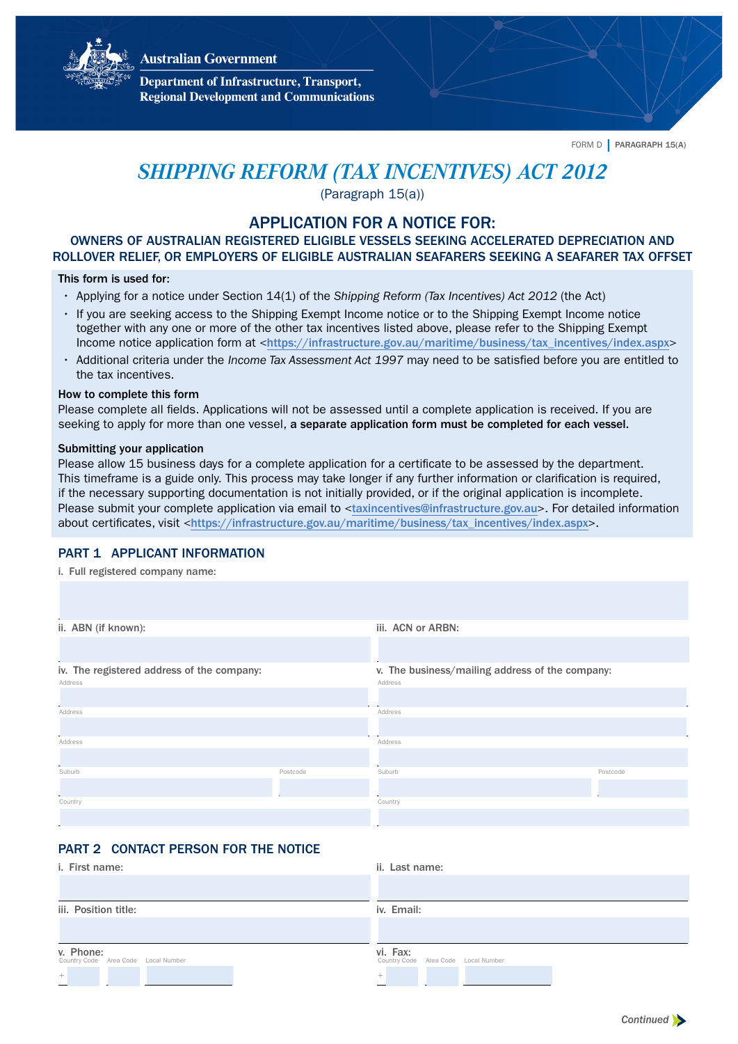



**Department of Infrastructure, Transport, Regional Development and Communications** 

FORM D | PARAGRAPH 15(A)

# *SHIPPING REFORM (TAX INCENTIVES) ACT 2012*

(Paragraph 15(a))

# APPLICATION FOR A NOTICE FOR:

OWNERS OF AUSTRALIAN REGISTERED ELIGIBLE VESSELS SEEKING ACCELERATED DEPRECIATION AND ROLLOVER RELIEF, OR EMPLOYERS OF ELIGIBLE AUSTRALIAN SEAFARERS SEEKING A SEAFARER TAX OFFSET

## This form is used for:

- Applying for a notice under Section 14(1) of the Shipping Reform (Tax Incentives) Act 2012 (the Act)
- If you are seeking access to the Shipping Exempt Income notice or to the Shipping Exempt Income notice together with any one or more of the other tax incentives listed above, please refer to the Shipping Exempt Income notice application form at <[https://infrastructure.gov.au/maritime/business/tax\\_incentives/index.aspx](https://infrastructure.gov.au/maritime/business/tax_incentives/index.aspx)>
- Additional criteria under the *Income Tax Assessment Act 1997* may need to be satisfied before you are entitled to the tax incentives.

#### How to complete this form

Please complete all fields. Applications will not be assessed until a complete application is received. If you are seeking to apply for more than one vessel, a separate application form must be completed for each vessel.

#### Submitting your application

Please allow 15 business days for a complete application for a certificate to be assessed by the department. This timeframe is a guide only. This process may take longer if any further information or clarification is required, if the necessary supporting documentation is not initially provided, or if the original application is incomplete. Please submit your complete application via email to <[taxincentives@infrastructure.gov.au](mailto:taxincentives@infrastructure.gov.au)>. For detailed information about certificates, visit <[https://infrastructure.gov.au/maritime/business/tax\\_incentives/index.aspx](https://infrastructure.gov.au/maritime/business/tax_incentives/index.aspx)>.

## PART 1 APPLICANT INFORMATION

i. Full registered company name:

| ii. ABN (if known):                        |          | iii. ACN or ARBN:                               |          |  |
|--------------------------------------------|----------|-------------------------------------------------|----------|--|
|                                            |          |                                                 |          |  |
| iv. The registered address of the company: |          | v. The business/mailing address of the company: |          |  |
| Address                                    |          | Address                                         |          |  |
|                                            |          |                                                 |          |  |
| Address                                    |          | Address                                         |          |  |
|                                            |          |                                                 |          |  |
| Address                                    |          | Address                                         |          |  |
|                                            |          |                                                 |          |  |
| Suburb                                     | Postcode | Suburb                                          | Postcode |  |
|                                            |          |                                                 |          |  |
| Country                                    |          | Country                                         |          |  |
|                                            |          |                                                 |          |  |

# PART 2 CONTACT PERSON FOR THE NOTICE

| i. First name:                                   | ii. Last name:                                  |
|--------------------------------------------------|-------------------------------------------------|
|                                                  |                                                 |
| iii. Position title:                             | iv. Email:                                      |
|                                                  |                                                 |
| v. Phone:<br>Country Code Area Code Local Number | vi. Fax:<br>Country Code Area Code Local Number |
| $\, + \,$                                        | $^{+}$                                          |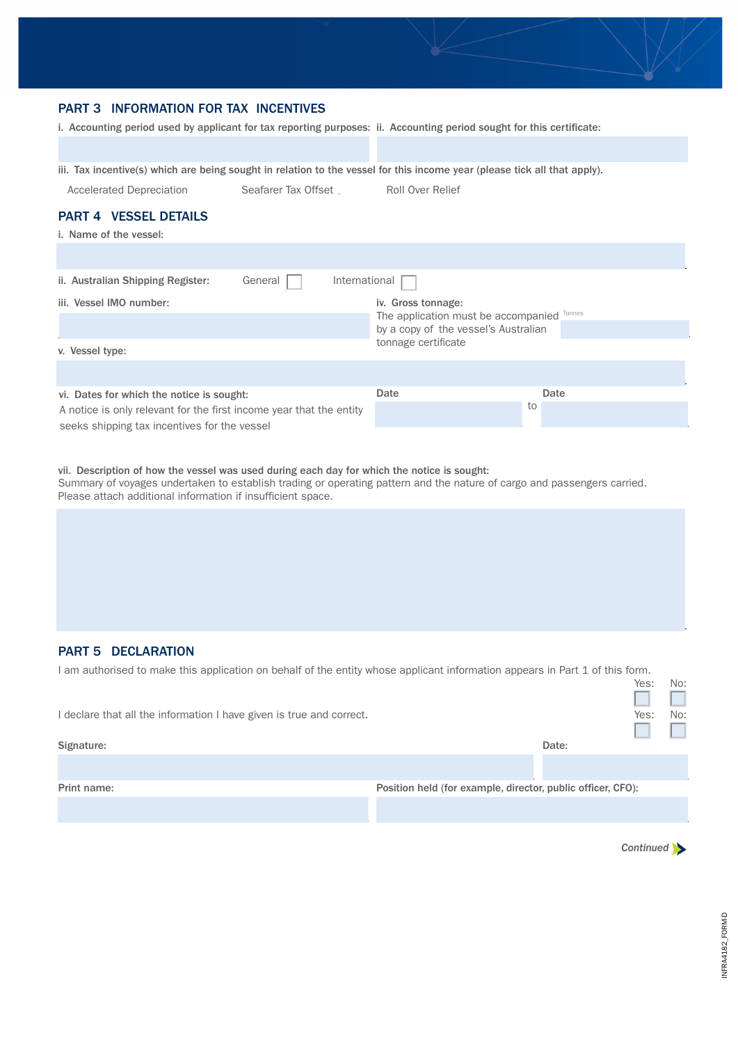

# PART 3 INFORMATION FOR TAX INCENTIVES

i. Accounting period used by applicant for tax reporting purposes: ii. Accounting period sought for this certificate:

iii. Tax incentive(s) which are being sought in relation to the vessel for this income year (please tick all that apply).

Accelerated Depreciation Seafarer Tax Offset Roll Over Relief

#### PART 4 VESSEL DETAILS

| i. Name of the vessel:                                              |                                            |
|---------------------------------------------------------------------|--------------------------------------------|
|                                                                     |                                            |
| General<br>ii. Australian Shipping Register:                        | International                              |
| iii. Vessel IMO number:                                             | iv. Gross tonnage:                         |
|                                                                     | The application must be accompanied Tonnes |
|                                                                     | by a copy of the vessel's Australian       |
| v. Vessel type:                                                     | tonnage certificate                        |
|                                                                     |                                            |
| vi. Dates for which the notice is sought:                           | Date<br>Date                               |
| A notice is only relevant for the first income year that the entity | to                                         |
| seeks shipping tax incentives for the vessel                        |                                            |

#### vii. Description of how the vessel was used during each day for which the notice is sought:

Summary of voyages undertaken to establish trading or operating pattern and the nature of cargo and passengers carried. Please attach additional information if insufficient space.

## PART 5 DECLARATION

| I am authorised to make this application on behalf of the entity whose applicant information appears in Part 1 of this form. |                                                             |      |     |  |
|------------------------------------------------------------------------------------------------------------------------------|-------------------------------------------------------------|------|-----|--|
|                                                                                                                              |                                                             | Yes: | No: |  |
|                                                                                                                              |                                                             |      |     |  |
| I declare that all the information I have given is true and correct.                                                         |                                                             |      | No: |  |
|                                                                                                                              |                                                             |      |     |  |
| Signature:                                                                                                                   | Date:                                                       |      |     |  |
|                                                                                                                              |                                                             |      |     |  |
| Print name:                                                                                                                  | Position held (for example, director, public officer, CFO): |      |     |  |
|                                                                                                                              |                                                             |      |     |  |
|                                                                                                                              |                                                             |      |     |  |

*[Continued](#page-2-0)*